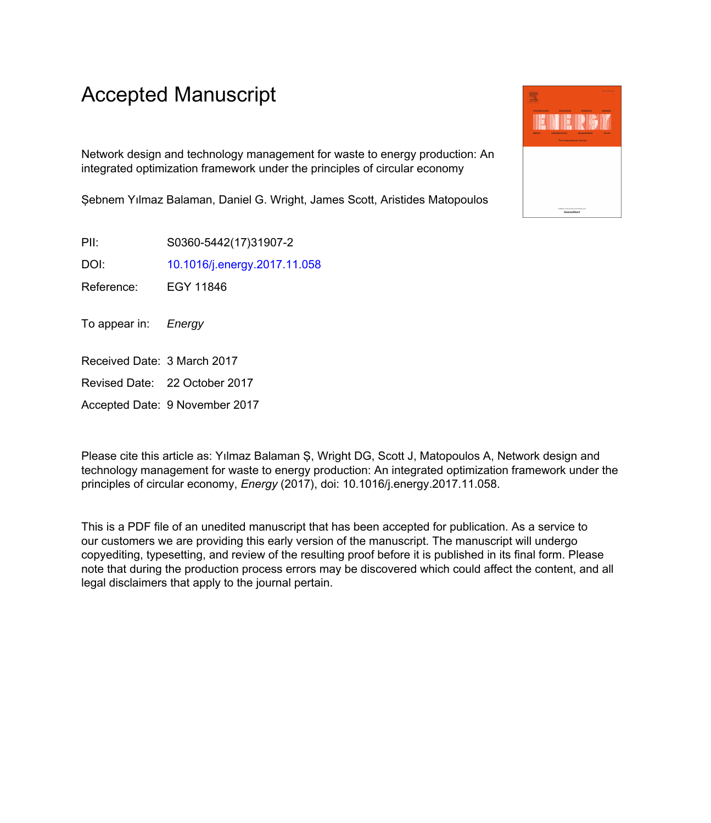# Accepted Manuscript

Network design and technology management for waste to energy production: An integrated optimization framework under the principles of circular economy

Şebnem Yılmaz Balaman, Daniel G. Wright, James Scott, Aristides Matopoulos

PII: S0360-5442(17)31907-2

DOI: [10.1016/j.energy.2017.11.058](https://doi.org/10.1016/j.energy.2017.11.058)

Reference: EGY 11846

To appear in: Energy

- Received Date: 3 March 2017
- Revised Date: 22 October 2017

Accepted Date: 9 November 2017

Please cite this article as: Yılmaz Balaman Ş, Wright DG, Scott J, Matopoulos A, Network design and technology management for waste to energy production: An integrated optimization framework under the principles of circular economy, *Energy* (2017), doi: 10.1016/j.energy.2017.11.058.

This is a PDF file of an unedited manuscript that has been accepted for publication. As a service to our customers we are providing this early version of the manuscript. The manuscript will undergo copyediting, typesetting, and review of the resulting proof before it is published in its final form. Please note that during the production process errors may be discovered which could affect the content, and all legal disclaimers that apply to the journal pertain.

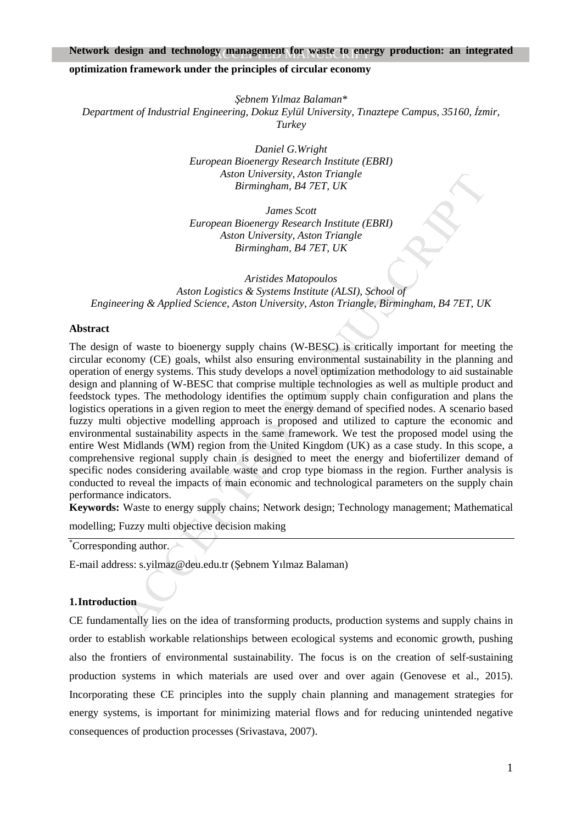### Network design and technology management for waste to energy production: an integrated

#### **optimization framework under the principles of circular economy**

*Şebnem Yılmaz Balaman\* Department of Industrial Engineering, Dokuz Eylül University, Tinaztepe Campus, 35160, İzmir, Turkey* 

> *Daniel G.Wright European Bioenergy Research Institute (EBRI) Aston University, Aston Triangle Birmingham, B4 7ET, UK*

> *James Scott European Bioenergy Research Institute (EBRI) Aston University, Aston Triangle Birmingham, B4 7ET, UK*

*Aristides Matopoulos Aston Logistics & Systems Institute (ALSI), School of Engineering & Applied Science, Aston University, Aston Triangle, Birmingham, B4 7ET, UK* 

#### **Abstract**

Aston University, Aston Trangle<br> *Mirmingham, B47ET, UK*<br> *James Scott*<br> *Larence Scott*<br> *Matterings Wesearch Institute (EBRI)*<br>
Aston University, Aston Trangle<br> *Arton Logistics & Systems Institute (ALSI), School of*<br> *A* The design of waste to bioenergy supply chains (W-BESC) is critically important for meeting the circular economy (CE) goals, whilst also ensuring environmental sustainability in the planning and operation of energy systems. This study develops a novel optimization methodology to aid sustainable design and planning of W-BESC that comprise multiple technologies as well as multiple product and feedstock types. The methodology identifies the optimum supply chain configuration and plans the logistics operations in a given region to meet the energy demand of specified nodes. A scenario based fuzzy multi objective modelling approach is proposed and utilized to capture the economic and environmental sustainability aspects in the same framework. We test the proposed model using the entire West Midlands (WM) region from the United Kingdom (UK) as a case study. In this scope, a comprehensive regional supply chain is designed to meet the energy and biofertilizer demand of specific nodes considering available waste and crop type biomass in the region. Further analysis is conducted to reveal the impacts of main economic and technological parameters on the supply chain performance indicators.

**Keywords:** Waste to energy supply chains; Network design; Technology management; Mathematical

modelling; Fuzzy multi objective decision making

\*Corresponding author.

E-mail address: s.yilmaz@deu.edu.tr (Şebnem Yılmaz Balaman)

#### **1.Introduction**

CE fundamentally lies on the idea of transforming products, production systems and supply chains in order to establish workable relationships between ecological systems and economic growth, pushing also the frontiers of environmental sustainability. The focus is on the creation of self-sustaining production systems in which materials are used over and over again (Genovese et al., 2015). Incorporating these CE principles into the supply chain planning and management strategies for energy systems, is important for minimizing material flows and for reducing unintended negative consequences of production processes (Srivastava, 2007).